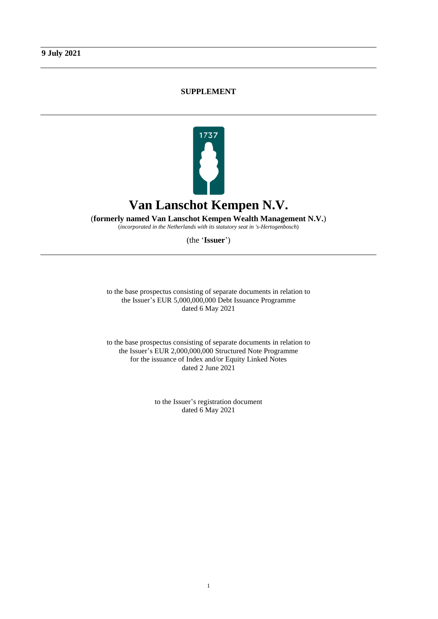# **SUPPLEMENT**



(**formerly named Van Lanschot Kempen Wealth Management N.V.**)

(*incorporated in the Netherlands with its statutory seat in 's-Hertogenbosch*)

(the '**Issuer**')

to the base prospectus consisting of separate documents in relation to the Issuer's EUR 5,000,000,000 Debt Issuance Programme dated 6 May 2021

to the base prospectus consisting of separate documents in relation to the Issuer's EUR 2,000,000,000 Structured Note Programme for the issuance of Index and/or Equity Linked Notes dated 2 June 2021

> to the Issuer's registration document dated 6 May 2021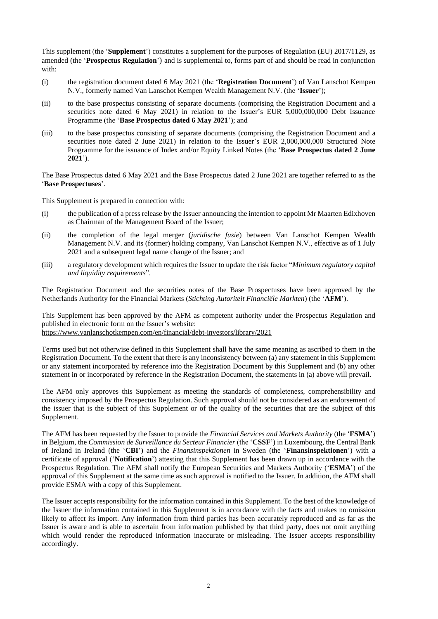This supplement (the '**Supplement**') constitutes a supplement for the purposes of Regulation (EU) 2017/1129, as amended (the '**Prospectus Regulation**') and is supplemental to, forms part of and should be read in conjunction with:

- (i) the registration document dated 6 May 2021 (the '**Registration Document**') of Van Lanschot Kempen N.V., formerly named Van Lanschot Kempen Wealth Management N.V. (the '**Issuer**');
- (ii) to the base prospectus consisting of separate documents (comprising the Registration Document and a securities note dated 6 May 2021) in relation to the Issuer's EUR 5,000,000,000 Debt Issuance Programme (the '**Base Prospectus dated 6 May 2021**'); and
- (iii) to the base prospectus consisting of separate documents (comprising the Registration Document and a securities note dated 2 June 2021) in relation to the Issuer's EUR 2,000,000,000 Structured Note Programme for the issuance of Index and/or Equity Linked Notes (the '**Base Prospectus dated 2 June 2021**').

The Base Prospectus dated 6 May 2021 and the Base Prospectus dated 2 June 2021 are together referred to as the '**Base Prospectuses**'.

This Supplement is prepared in connection with:

- (i) the publication of a press release by the Issuer announcing the intention to appoint Mr Maarten Edixhoven as Chairman of the Management Board of the Issuer;
- (ii) the completion of the legal merger (*juridische fusie*) between Van Lanschot Kempen Wealth Management N.V. and its (former) holding company, Van Lanschot Kempen N.V., effective as of 1 July 2021 and a subsequent legal name change of the Issuer; and
- (iii) a regulatory development which requires the Issuer to update the risk factor "*Minimum regulatory capital and liquidity requirements*".

The Registration Document and the securities notes of the Base Prospectuses have been approved by the Netherlands Authority for the Financial Markets (*Stichting Autoriteit Financiële Markten*) (the '**AFM**').

This Supplement has been approved by the AFM as competent authority under the Prospectus Regulation and published in electronic form on the Issuer's website: <https://www.vanlanschotkempen.com/en/financial/debt-investors/library/2021>

Terms used but not otherwise defined in this Supplement shall have the same meaning as ascribed to them in the

Registration Document. To the extent that there is any inconsistency between (a) any statement in this Supplement or any statement incorporated by reference into the Registration Document by this Supplement and (b) any other statement in or incorporated by reference in the Registration Document, the statements in (a) above will prevail.

The AFM only approves this Supplement as meeting the standards of completeness, comprehensibility and consistency imposed by the Prospectus Regulation. Such approval should not be considered as an endorsement of the issuer that is the subject of this Supplement or of the quality of the securities that are the subject of this Supplement.

The AFM has been requested by the Issuer to provide the *Financial Services and Markets Authority* (the '**FSMA**') in Belgium, the *Commission de Surveillance du Secteur Financier* (the '**CSSF**') in Luxembourg, the Central Bank of Ireland in Ireland (the '**CBI**') and the *Finansinspektionen* in Sweden (the '**Finansinspektionen**') with a certificate of approval ('**Notification**') attesting that this Supplement has been drawn up in accordance with the Prospectus Regulation. The AFM shall notify the European Securities and Markets Authority ('**ESMA**') of the approval of this Supplement at the same time as such approval is notified to the Issuer. In addition, the AFM shall provide ESMA with a copy of this Supplement.

The Issuer accepts responsibility for the information contained in this Supplement. To the best of the knowledge of the Issuer the information contained in this Supplement is in accordance with the facts and makes no omission likely to affect its import. Any information from third parties has been accurately reproduced and as far as the Issuer is aware and is able to ascertain from information published by that third party, does not omit anything which would render the reproduced information inaccurate or misleading. The Issuer accepts responsibility accordingly.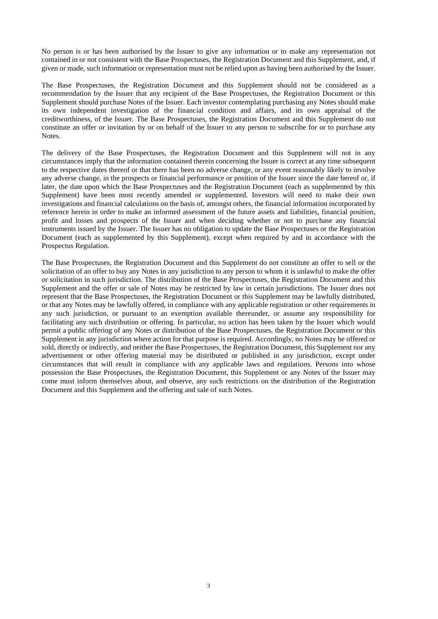No person is or has been authorised by the Issuer to give any information or to make any representation not contained in or not consistent with the Base Prospectuses, the Registration Document and this Supplement, and, if given or made, such information or representation must not be relied upon as having been authorised by the Issuer.

The Base Prospectuses, the Registration Document and this Supplement should not be considered as a recommendation by the Issuer that any recipient of the Base Prospectuses, the Registration Document or this Supplement should purchase Notes of the Issuer. Each investor contemplating purchasing any Notes should make its own independent investigation of the financial condition and affairs, and its own appraisal of the creditworthiness, of the Issuer. The Base Prospectuses, the Registration Document and this Supplement do not constitute an offer or invitation by or on behalf of the Issuer to any person to subscribe for or to purchase any Notes.

The delivery of the Base Prospectuses, the Registration Document and this Supplement will not in any circumstances imply that the information contained therein concerning the Issuer is correct at any time subsequent to the respective dates thereof or that there has been no adverse change, or any event reasonably likely to involve any adverse change, in the prospects or financial performance or position of the Issuer since the date hereof or, if later, the date upon which the Base Prospectuses and the Registration Document (each as supplemented by this Supplement) have been most recently amended or supplemented. Investors will need to make their own investigations and financial calculations on the basis of, amongst others, the financial information incorporated by reference herein in order to make an informed assessment of the future assets and liabilities, financial position, profit and losses and prospects of the Issuer and when deciding whether or not to purchase any financial instruments issued by the Issuer. The Issuer has no obligation to update the Base Prospectuses or the Registration Document (each as supplemented by this Supplement), except when required by and in accordance with the Prospectus Regulation.

The Base Prospectuses, the Registration Document and this Supplement do not constitute an offer to sell or the solicitation of an offer to buy any Notes in any jurisdiction to any person to whom it is unlawful to make the offer or solicitation in such jurisdiction. The distribution of the Base Prospectuses, the Registration Document and this Supplement and the offer or sale of Notes may be restricted by law in certain jurisdictions. The Issuer does not represent that the Base Prospectuses, the Registration Document or this Supplement may be lawfully distributed, or that any Notes may be lawfully offered, in compliance with any applicable registration or other requirements in any such jurisdiction, or pursuant to an exemption available thereunder, or assume any responsibility for facilitating any such distribution or offering. In particular, no action has been taken by the Issuer which would permit a public offering of any Notes or distribution of the Base Prospectuses, the Registration Document or this Supplement in any jurisdiction where action for that purpose is required. Accordingly, no Notes may be offered or sold, directly or indirectly, and neither the Base Prospectuses, the Registration Document, this Supplement nor any advertisement or other offering material may be distributed or published in any jurisdiction, except under circumstances that will result in compliance with any applicable laws and regulations. Persons into whose possession the Base Prospectuses, the Registration Document, this Supplement or any Notes of the Issuer may come must inform themselves about, and observe, any such restrictions on the distribution of the Registration Document and this Supplement and the offering and sale of such Notes.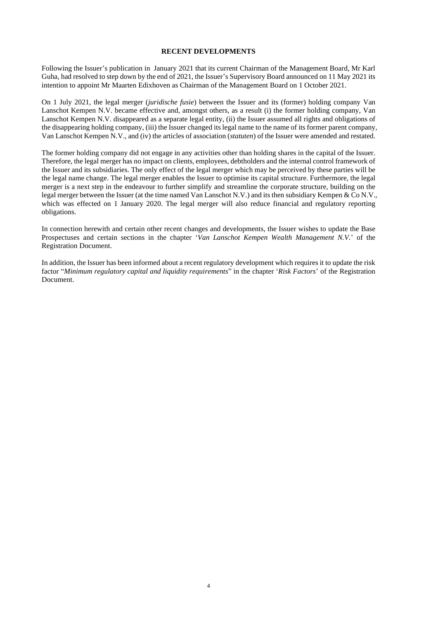### **RECENT DEVELOPMENTS**

Following the Issuer's publication in January 2021 that its current Chairman of the Management Board, Mr Karl Guha, had resolved to step down by the end of 2021, the Issuer's Supervisory Board announced on 11 May 2021 its intention to appoint Mr Maarten Edixhoven as Chairman of the Management Board on 1 October 2021.

On 1 July 2021, the legal merger (*juridische fusie*) between the Issuer and its (former) holding company Van Lanschot Kempen N.V. became effective and, amongst others, as a result (i) the former holding company, Van Lanschot Kempen N.V. disappeared as a separate legal entity, (ii) the Issuer assumed all rights and obligations of the disappearing holding company, (iii) the Issuer changed its legal name to the name of its former parent company, Van Lanschot Kempen N.V., and (iv) the articles of association (*statuten*) of the Issuer were amended and restated.

The former holding company did not engage in any activities other than holding shares in the capital of the Issuer. Therefore, the legal merger has no impact on clients, employees, debtholders and the internal control framework of the Issuer and its subsidiaries. The only effect of the legal merger which may be perceived by these parties will be the legal name change. The legal merger enables the Issuer to optimise its capital structure. Furthermore, the legal merger is a next step in the endeavour to further simplify and streamline the corporate structure, building on the legal merger between the Issuer (at the time named Van Lanschot N.V.) and its then subsidiary Kempen & Co N.V., which was effected on 1 January 2020. The legal merger will also reduce financial and regulatory reporting obligations.

In connection herewith and certain other recent changes and developments, the Issuer wishes to update the Base Prospectuses and certain sections in the chapter '*Van Lanschot Kempen Wealth Management N.V.*' of the Registration Document.

In addition, the Issuer has been informed about a recent regulatory development which requires it to update the risk factor "*Minimum regulatory capital and liquidity requirements*" in the chapter '*Risk Factors*' of the Registration Document.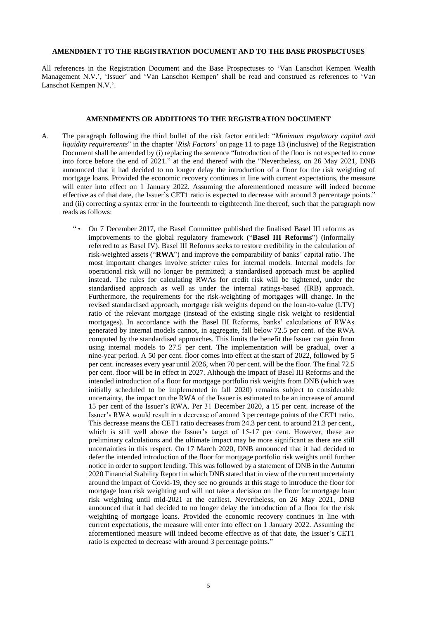### **AMENDMENT TO THE REGISTRATION DOCUMENT AND TO THE BASE PROSPECTUSES**

All references in the Registration Document and the Base Prospectuses to 'Van Lanschot Kempen Wealth Management N.V.', 'Issuer' and 'Van Lanschot Kempen' shall be read and construed as references to 'Van Lanschot Kempen N.V.'.

## **AMENDMENTS OR ADDITIONS TO THE REGISTRATION DOCUMENT**

- A. The paragraph following the third bullet of the risk factor entitled: "*Minimum regulatory capital and liquidity requirements*" in the chapter '*Risk Factors*' on page 11 to page 13 (inclusive) of the Registration Document shall be amended by (i) replacing the sentence "Introduction of the floor is not expected to come into force before the end of 2021." at the end thereof with the "Nevertheless, on 26 May 2021, DNB announced that it had decided to no longer delay the introduction of a floor for the risk weighting of mortgage loans. Provided the economic recovery continues in line with current expectations, the measure will enter into effect on 1 January 2022. Assuming the aforementioned measure will indeed become effective as of that date, the Issuer's CET1 ratio is expected to decrease with around 3 percentage points." and (ii) correcting a syntax error in the fourteenth to eigthteenth line thereof, such that the paragraph now reads as follows:
	- " On 7 December 2017, the Basel Committee published the finalised Basel III reforms as improvements to the global regulatory framework ("**Basel III Reforms**") (informally referred to as Basel IV). Basel III Reforms seeks to restore credibility in the calculation of risk-weighted assets ("**RWA**") and improve the comparability of banks' capital ratio. The most important changes involve stricter rules for internal models. Internal models for operational risk will no longer be permitted; a standardised approach must be applied instead. The rules for calculating RWAs for credit risk will be tightened, under the standardised approach as well as under the internal ratings-based (IRB) approach. Furthermore, the requirements for the risk-weighting of mortgages will change. In the revised standardised approach, mortgage risk weights depend on the loan-to-value (LTV) ratio of the relevant mortgage (instead of the existing single risk weight to residential mortgages). In accordance with the Basel III Reforms, banks' calculations of RWAs generated by internal models cannot, in aggregate, fall below 72.5 per cent. of the RWA computed by the standardised approaches. This limits the benefit the Issuer can gain from using internal models to 27.5 per cent. The implementation will be gradual, over a nine-year period. A 50 per cent. floor comes into effect at the start of 2022, followed by 5 per cent. increases every year until 2026, when 70 per cent. will be the floor. The final 72.5 per cent. floor will be in effect in 2027. Although the impact of Basel III Reforms and the intended introduction of a floor for mortgage portfolio risk weights from DNB (which was initially scheduled to be implemented in fall 2020) remains subject to considerable uncertainty, the impact on the RWA of the Issuer is estimated to be an increase of around 15 per cent of the Issuer's RWA. Per 31 December 2020, a 15 per cent. increase of the Issuer's RWA would result in a decrease of around 3 percentage points of the CET1 ratio. This decrease means the CET1 ratio decreases from 24.3 per cent. to around 21.3 per cent., which is still well above the Issuer's target of 15-17 per cent. However, these are preliminary calculations and the ultimate impact may be more significant as there are still uncertainties in this respect. On 17 March 2020, DNB announced that it had decided to defer the intended introduction of the floor for mortgage portfolio risk weights until further notice in order to support lending. This was followed by a statement of DNB in the Autumn 2020 Financial Stability Report in which DNB stated that in view of the current uncertainty around the impact of Covid-19, they see no grounds at this stage to introduce the floor for mortgage loan risk weighting and will not take a decision on the floor for mortgage loan risk weighting until mid-2021 at the earliest. Nevertheless, on 26 May 2021, DNB announced that it had decided to no longer delay the introduction of a floor for the risk weighting of mortgage loans. Provided the economic recovery continues in line with current expectations, the measure will enter into effect on 1 January 2022. Assuming the aforementioned measure will indeed become effective as of that date, the Issuer's CET1 ratio is expected to decrease with around 3 percentage points."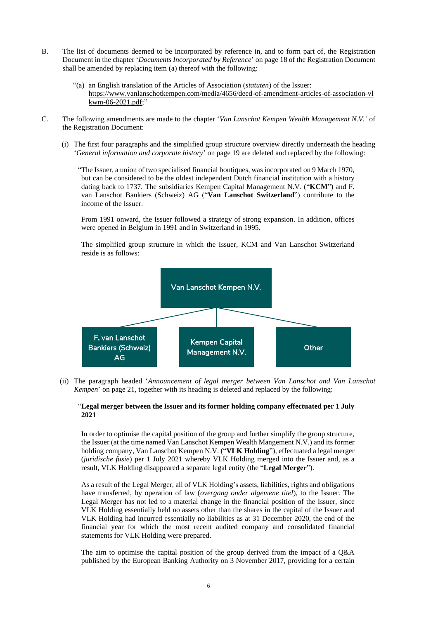- B. The list of documents deemed to be incorporated by reference in, and to form part of, the Registration Document in the chapter '*Documents Incorporated by Reference*' on page 18 of the Registration Document shall be amended by replacing item (a) thereof with the following:
	- "(a) [an English translation of the Articles of Association \(](https://media.vanlanschot.nl/media/pdfs/articles-of-association-van-lanschot-nv-23-may-2018.pdf)*statuten*) of the Issuer: [https://www.vanlanschotkempen.com/media/4656/deed-of-amendment-articles-of-association-vl](https://www.vanlanschotkempen.com/media/4656/deed-of-amendment-articles-of-association-vlkwm-06-2021.pdf) [kwm-06-2021.pdf;](https://www.vanlanschotkempen.com/media/4656/deed-of-amendment-articles-of-association-vlkwm-06-2021.pdf)"
- C. The following amendments are made to the chapter '*Van Lanschot Kempen Wealth Management N.V.'* of the Registration Document:
	- (i) The first four paragraphs and the simplified group structure overview directly underneath the heading '*General information and corporate history*' on page 19 are deleted and replaced by the following:

"The Issuer, a union of two specialised financial boutiques, was incorporated on 9 March 1970, but can be considered to be the oldest independent Dutch financial institution with a history dating back to 1737. The subsidiaries Kempen Capital Management N.V. ("**KCM**") and F. van Lanschot Bankiers (Schweiz) AG ("**Van Lanschot Switzerland**") contribute to the income of the Issuer.

From 1991 onward, the Issuer followed a strategy of strong expansion. In addition, offices were opened in Belgium in 1991 and in Switzerland in 1995.

The simplified group structure in which the Issuer, KCM and Van Lanschot Switzerland reside is as follows:



(ii) The paragraph headed '*Announcement of legal merger between Van Lanschot and Van Lanschot Kempen*' on page 21, together with its heading is deleted and replaced by the following:

### "**Legal merger between the Issuer and its former holding company effectuated per 1 July 2021**

In order to optimise the capital position of the group and further simplify the group structure, the Issuer (at the time named Van Lanschot Kempen Wealth Mangement N.V.) and its former holding company, Van Lanschot Kempen N.V. ("**VLK Holding**"), effectuated a legal merger (*juridische fusie*) per 1 July 2021 whereby VLK Holding merged into the Issuer and, as a result, VLK Holding disappeared a separate legal entity (the "**Legal Merger**").

As a result of the Legal Merger, all of VLK Holding's assets, liabilities, rights and obligations have transferred, by operation of law (*overgang onder algemene titel*), to the Issuer. The Legal Merger has not led to a material change in the financial position of the Issuer, since VLK Holding essentially held no assets other than the shares in the capital of the Issuer and VLK Holding had incurred essentially no liabilities as at 31 December 2020, the end of the financial year for which the most recent audited company and consolidated financial statements for VLK Holding were prepared.

The aim to optimise the capital position of the group derived from the impact of a Q&A published by the European Banking Authority on 3 November 2017, providing for a certain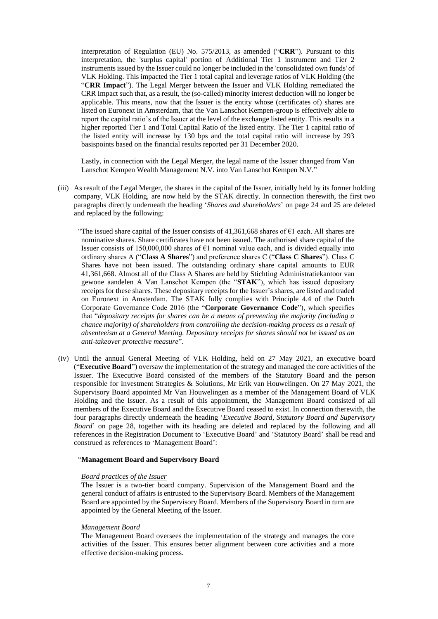interpretation of Regulation (EU) No. 575/2013, as amended ("**CRR**"). Pursuant to this interpretation, the 'surplus capital' portion of Additional Tier 1 instrument and Tier 2 instruments issued by the Issuer could no longer be included in the 'consolidated own funds' of VLK Holding. This impacted the Tier 1 total capital and leverage ratios of VLK Holding (the "**CRR Impact**"). The Legal Merger between the Issuer and VLK Holding remediated the CRR Impact such that, as a result, the (so-called) minority interest deduction will no longer be applicable. This means, now that the Issuer is the entity whose (certificates of) shares are listed on Euronext in Amsterdam, that the Van Lanschot Kempen-group is effectively able to report the capital ratio's of the Issuer at the level of the exchange listed entity. This results in a higher reported Tier 1 and Total Capital Ratio of the listed entity. The Tier 1 capital ratio of the listed entity will increase by 130 bps and the total capital ratio will increase by 293 basispoints based on the financial results reported per 31 December 2020.

Lastly, in connection with the Legal Merger, the legal name of the Issuer changed from Van Lanschot Kempen Wealth Management N.V. into Van Lanschot Kempen N.V."

- (iii) As result of the Legal Merger, the shares in the capital of the Issuer, initially held by its former holding company, VLK Holding, are now held by the STAK directly. In connection therewith, the first two paragraphs directly underneath the heading '*Shares and shareholders*' on page 24 and 25 are deleted and replaced by the following:
	- "The issued share capital of the Issuer consists of 41,361,668 shares of  $\epsilon$ 1 each. All shares are nominative shares. Share certificates have not been issued. The authorised share capital of the Issuer consists of 150,000,000 shares of  $E1$  nominal value each, and is divided equally into ordinary shares A ("**Class A Shares**") and preference shares C ("**Class C Shares**"). Class C Shares have not been issued. The outstanding ordinary share capital amounts to EUR 41,361,668. Almost all of the Class A Shares are held by Stichting Administratiekantoor van gewone aandelen A Van Lanschot Kempen (the "**STAK**"), which has issued depositary receipts for these shares. These depositary receipts for the Issuer's shares, are listed and traded on Euronext in Amsterdam. The STAK fully complies with Principle 4.4 of the Dutch Corporate Governance Code 2016 (the "**Corporate Governance Code**"), which specifies that "*depositary receipts for shares can be a means of preventing the majority (including a chance majority) of shareholders from controlling the decision-making process as a result of absenteeism at a General Meeting. Depository receipts for shares should not be issued as an anti-takeover protective measure*".
- (iv) Until the annual General Meeting of VLK Holding, held on 27 May 2021, an executive board ("**Executive Board**") oversaw the implementation of the strategy and managed the core activities of the Issuer. The Executive Board consisted of the members of the Statutory Board and the person responsible for Investment Strategies & Solutions, Mr Erik van Houwelingen. On 27 May 2021, the Supervisory Board appointed Mr Van Houwelingen as a member of the Management Board of VLK Holding and the Issuer. As a result of this appointment, the Management Board consisted of all members of the Executive Board and the Executive Board ceased to exist. In connection therewith, the four paragraphs directly underneath the heading '*Executive Board, Statutory Board and Supervisory Board*' on page 28, together with its heading are deleted and replaced by the following and all references in the Registration Document to 'Executive Board' and 'Statutory Board' shall be read and construed as references to 'Management Board':

### "**Management Board and Supervisory Board**

#### *Board practices of the Issuer*

The Issuer is a two-tier board company. Supervision of the Management Board and the general conduct of affairs is entrusted to the Supervisory Board. Members of the Management Board are appointed by the Supervisory Board. Members of the Supervisory Board in turn are appointed by the General Meeting of the Issuer.

### *Management Board*

The Management Board oversees the implementation of the strategy and manages the core activities of the Issuer. This ensures better alignment between core activities and a more effective decision-making process.